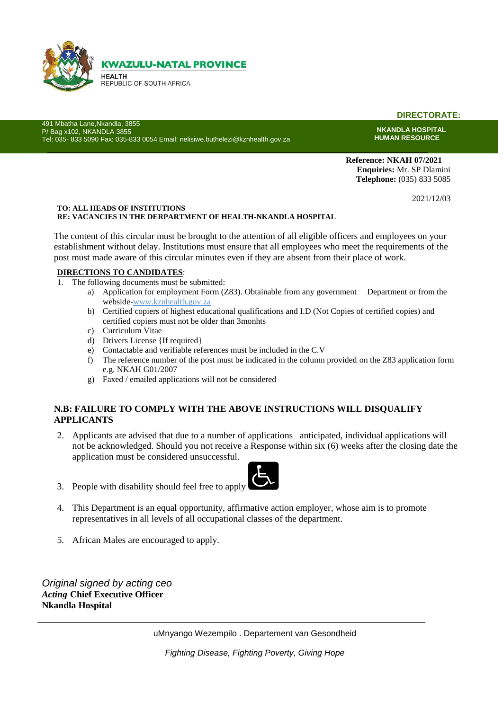

**DIRECTORATE:**

491 Mbatha Lane,Nkandla, 3855 P/ Bag x102, NKANDLA 3855 Tel: 035- 833 5090 Fax: 035-833 0054 Email: nelisiwe.buthelezi@kznhealth.gov.za

**NKANDLA HOSPITAL HUMAN RESOURCE**

**Reference: NKAH 07/2021 Enquiries:** Mr. SP Dlamini **Telephone:** (035) 833 5085

2021/12/03

#### **TO: ALL HEADS OF INSTITUTIONS RE: VACANCIES IN THE DERPARTMENT OF HEALTH-NKANDLA HOSPITAL**

The content of this circular must be brought to the attention of all eligible officers and employees on your establishment without delay. Institutions must ensure that all employees who meet the requirements of the post must made aware of this circular minutes even if they are absent from their place of work.

#### **DIRECTIONS TO CANDIDATES**:

- 1. The following documents must be submitted:
	- a) Application for employment Form (Z83). Obtainable from any government Department or from the webside-www.kznhealth.gov.za
	- b) Certified copiers of highest educational qualifications and I.D (Not Copies of certified copies) and certified copiers must not be older than 3monhts
	- c) Curriculum Vitae
	- d) Drivers License {If required}
	- e) Contactable and verifiable references must be included in the C.V
	- f) The reference number of the post must be indicated in the column provided on the Z83 application form e.g. NKAH G01/2007
	- g) Faxed / emailed applications will not be considered

## **N.B: FAILURE TO COMPLY WITH THE ABOVE INSTRUCTIONS WILL DISQUALIFY APPLICANTS**

- 2. Applicants are advised that due to a number of applications anticipated, individual applications will not be acknowledged. Should you not receive a Response within six (6) weeks after the closing date the application must be considered unsuccessful.
- 3. People with disability should feel free to apply



- 4. This Department is an equal opportunity, affirmative action employer, whose aim is to promote representatives in all levels of all occupational classes of the department.
- 5. African Males are encouraged to apply.

*Original signed by acting ceo Acting* **Chief Executive Officer Nkandla Hospital**

uMnyango Wezempilo . Departement van Gesondheid

*Fighting Disease, Fighting Poverty, Giving Hope*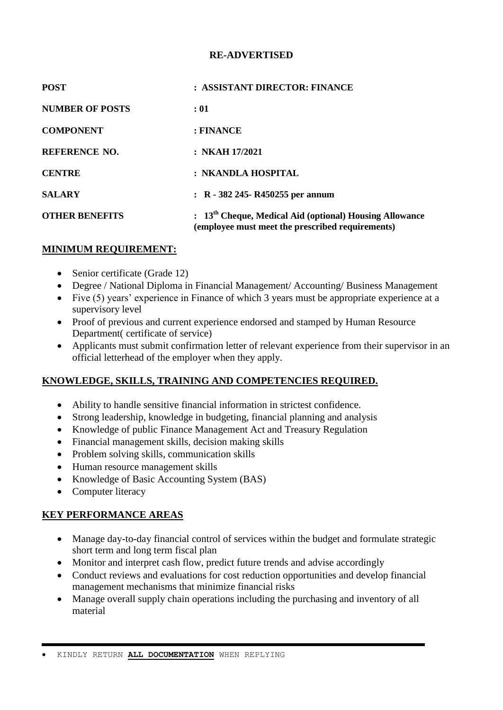## **RE-ADVERTISED**

| <b>POST</b>            | : ASSISTANT DIRECTOR: FINANCE                                                                                 |
|------------------------|---------------------------------------------------------------------------------------------------------------|
| <b>NUMBER OF POSTS</b> | :01                                                                                                           |
| <b>COMPONENT</b>       | : FINANCE                                                                                                     |
| <b>REFERENCE NO.</b>   | : NKAH $17/2021$                                                                                              |
| <b>CENTRE</b>          | : NKANDLA HOSPITAL                                                                                            |
| <b>SALARY</b>          | $\therefore$ R - 382 245 - R450255 per annum                                                                  |
| <b>OTHER BENEFITS</b>  | $: 13th$ Cheque, Medical Aid (optional) Housing Allowance<br>(employee must meet the prescribed requirements) |

## **MINIMUM REQUIREMENT:**

- Senior certificate (Grade 12)
- Degree / National Diploma in Financial Management/ Accounting/ Business Management
- Five (5) years' experience in Finance of which 3 years must be appropriate experience at a supervisory level
- Proof of previous and current experience endorsed and stamped by Human Resource Department( certificate of service)
- Applicants must submit confirmation letter of relevant experience from their supervisor in an official letterhead of the employer when they apply.

## **KNOWLEDGE, SKILLS, TRAINING AND COMPETENCIES REQUIRED.**

- Ability to handle sensitive financial information in strictest confidence.
- Strong leadership, knowledge in budgeting, financial planning and analysis
- Knowledge of public Finance Management Act and Treasury Regulation
- Financial management skills, decision making skills
- Problem solving skills, communication skills
- Human resource management skills
- Knowledge of Basic Accounting System (BAS)
- Computer literacy

## **KEY PERFORMANCE AREAS**

- Manage day-to-day financial control of services within the budget and formulate strategic short term and long term fiscal plan
- Monitor and interpret cash flow, predict future trends and advise accordingly
- Conduct reviews and evaluations for cost reduction opportunities and develop financial management mechanisms that minimize financial risks
- Manage overall supply chain operations including the purchasing and inventory of all material

KINDLY RETURN **ALL DOCUMENTATION** WHEN REPLYING